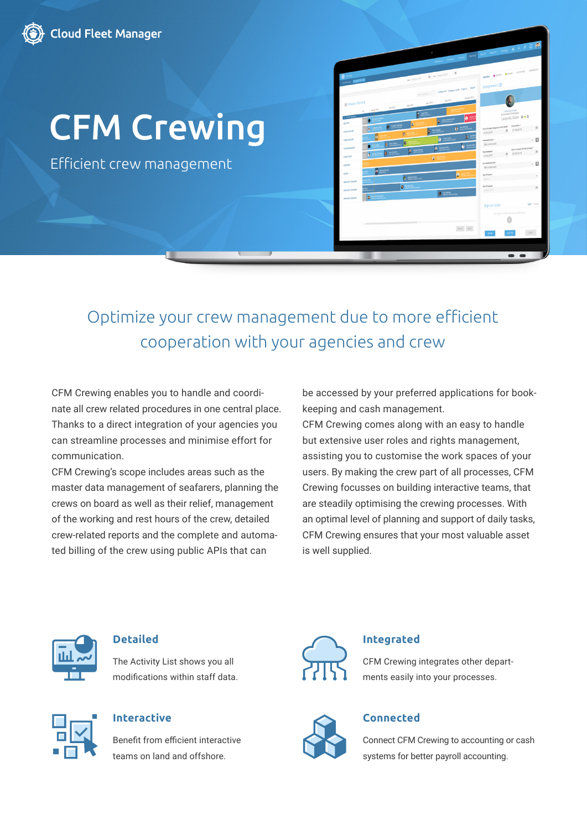

# [CFM Crewing](https://hanseaticsoft.com/cloud-crewing/crewing)

Efficient crew management

|                                          |                             |                        | o                                                                                                                                                   |                                                                             |                                     |                                                          |              |
|------------------------------------------|-----------------------------|------------------------|-----------------------------------------------------------------------------------------------------------------------------------------------------|-----------------------------------------------------------------------------|-------------------------------------|----------------------------------------------------------|--------------|
|                                          |                             |                        |                                                                                                                                                     | between bodies over loves paid news body a + p Q Pr                         |                                     |                                                          |              |
|                                          |                             |                        |                                                                                                                                                     | $\mathfrak{m}$                                                              |                                     |                                                          |              |
| <b>O</b> Deany<br>anthony <b>Romanon</b> |                             | Bat February 2019      | $\theta$ and February 2020                                                                                                                          |                                                                             |                                     | GOODLE FIREDIS FINADES ACTIVITIES COMMENTS               |              |
|                                          |                             |                        |                                                                                                                                                     |                                                                             | Assignment $\Theta$                 |                                                          |              |
|                                          |                             |                        |                                                                                                                                                     | Fine surfaces (Collapse all Compact mode   Copy to.,   Export<br>Agust 2019 |                                     |                                                          |              |
| @ Rotation Planning                      |                             | May 2019               | 34/2010<br>June 2019                                                                                                                                |                                                                             |                                     |                                                          |              |
| 15                                       | April 2019<br>Mary 2019     | <b>A</b> Andrew        |                                                                                                                                                     |                                                                             |                                     | THRO ENGINEER                                            |              |
| . It contenue<br>MISTER                  | $\bullet$                   |                        | <b>B</b> des Vanderwerd                                                                                                                             | $\overline{\mathbf{0}}$                                                     |                                     | Leopold, Dean # &                                        |              |
|                                          | $0$ and the $x$<br>M        | B                      |                                                                                                                                                     | $\frac{1}{2}$ $\frac{ka \text{ inside}}{2}$                                 |                                     | 27.04.2019<br>t5                                         |              |
| OIEF OFFICER                             | o                           | e                      | <b>D</b> Packardo<br>$0$ in the set of $\sim$                                                                                                       | 最後                                                                          | 27.04.2019                          |                                                          |              |
| THRD OFFICER                             | <b>B</b> Anyon<br>$\bullet$ | ¢                      |                                                                                                                                                     | $\bullet$ speed in                                                          | Embarkation port *<br>TBA (Unknown) |                                                          | . 0          |
| THRD ENGINEER                            | ø                           | <b>B</b> Separt Detect | <b>O</b> Scharl Arthu                                                                                                                               |                                                                             | Duerbakaton*<br>22.06.2019          | End of contract (Antius) at horse) *<br>22.06.2019<br>t5 |              |
| CHEF COOK                                |                             |                        | ø                                                                                                                                                   |                                                                             | Doumbarkston port                   |                                                          | - 0          |
| STEWARD                                  | <b>Pa</b> Mchad Monak       |                        |                                                                                                                                                     |                                                                             | TBA (Unknown)                       |                                                          |              |
| <b>BOSIN</b>                             |                             | <b>O</b> Secret Carte  |                                                                                                                                                     | ٥                                                                           | Spraff noon<br>Select.              |                                                          |              |
| <b>ORDINARY SEXUARY</b>                  |                             | <b>O</b> Michel Fair   |                                                                                                                                                     |                                                                             | Systhesed                           |                                                          |              |
| ORDNARY SEASON                           |                             |                        | $\begin{tabular}{ c c } \hline \textbf{0} & \textbf{m} & \textbf{Wvist} \\ \hline \textbf{0} & \textbf{m} & \textbf{Mvist} \\ \hline \end{tabular}$ |                                                                             | CO MM YYYY                          |                                                          |              |
| OCONARY SEXUARY                          | ġ                           |                        |                                                                                                                                                     |                                                                             |                                     |                                                          | Add   Cancel |
|                                          |                             |                        |                                                                                                                                                     |                                                                             | Sign on ticket                      | No sign on ticket has been added yet                     |              |
|                                          |                             |                        |                                                                                                                                                     |                                                                             |                                     |                                                          |              |
|                                          |                             |                        |                                                                                                                                                     | RSET SAVE                                                                   |                                     |                                                          |              |
|                                          |                             |                        |                                                                                                                                                     |                                                                             | 90%                                 | DELETE                                                   | SAVE         |

# Optimize your crew management due to more efficient cooperation with your agencies and crew

CFM Crewing enables you to handle and coordinate all crew related procedures in one central place. Thanks to a direct integration of your agencies you can streamline processes and minimise effort for communication.

CFM Crewing's scope includes areas such as the master data management of seafarers, planning the crews on board as well as their relief, management of the working and rest hours of the crew, detailed crew-related reports and the complete and automated billing of the crew using public APIs that can

be accessed by your preferred applications for bookkeeping and cash management.

CFM Crewing comes along with an easy to handle but extensive user roles and rights management, assisting you to customise the work spaces of your users. By making the crew part of all processes, CFM Crewing focusses on building interactive teams, that are steadily optimising the crewing processes. With an optimal level of planning and support of daily tasks, CFM Crewing ensures that your most valuable asset is well supplied.



### **Detailed**

The Activity List shows you all modifications within staff data.



# **Interactive**

Benefit from efficient interactive teams on land and offshore.



#### **Integrated**

CFM Crewing integrates other departments easily into your processes.



# **Connected**

Connect CFM Crewing to accounting or cash systems for better payroll accounting.